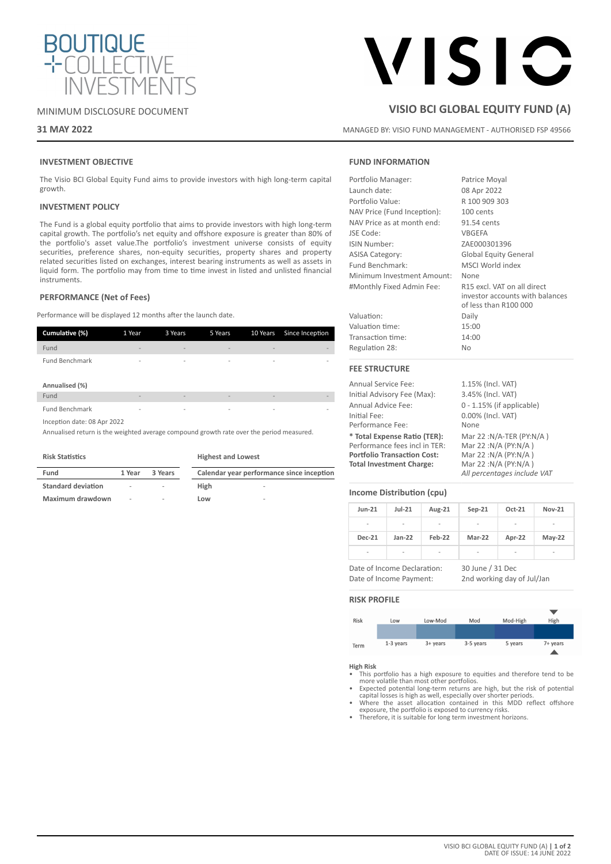

# MINIMUM DISCLOSURE DOCUMENT

# **31 MAY 2022**

# **ISIC**

# **VISIO BCI GLOBAL EQUITY FUND (A)**

MANAGED BY: VISIO FUND MANAGEMENT - AUTHORISED FSP 49566

# **INVESTMENT OBJECTIVE**

The Visio BCI Global Equity Fund aims to provide investors with high long-term capital growth.

# **INVESTMENT POLICY**

The Fund is a global equity portfolio that aims to provide investors with high long-term capital growth. The portfolio's net equity and offshore exposure is greater than 80% of the portfolio's asset value.The portfolio's investment universe consists of equity securities, preference shares, non-equity securities, property shares and property related securities listed on exchanges, interest bearing instruments as well as assets in liquid form. The portfolio may from time to time invest in listed and unlisted financial instruments.

### **PERFORMANCE (Net of Fees)**

Performance will be displayed 12 months after the launch date.

| Cumulative (%)              | 1 Year                   | 3 Years                  | 5 Years                  | 10 Years                 | Since Inception |
|-----------------------------|--------------------------|--------------------------|--------------------------|--------------------------|-----------------|
| Fund                        | $\overline{\phantom{a}}$ | $\overline{\phantom{a}}$ | $\overline{\phantom{0}}$ |                          |                 |
| <b>Fund Benchmark</b>       | -                        | $\overline{\phantom{a}}$ | $\overline{\phantom{a}}$ | $\overline{\phantom{a}}$ | ٠               |
| Annualised (%)              |                          |                          |                          |                          |                 |
| Fund                        | $\overline{\phantom{0}}$ | $\overline{\phantom{a}}$ | $\overline{\phantom{a}}$ | $\overline{\phantom{a}}$ | ×,              |
| <b>Fund Benchmark</b>       | $\overline{\phantom{a}}$ | $\overline{\phantom{a}}$ | -                        | $\overline{\phantom{a}}$ | ۰               |
| Inception date: 08 Apr 2022 |                          |                          |                          |                          |                 |

Annualised return is the weighted average compound growth rate over the period measured.

|  | <b>Risk Statistics</b> |
|--|------------------------|
|--|------------------------|

**Highest and Lowest**

| Fund                      | 1 Year | 3 Years |      | Calendar year performance since inception |
|---------------------------|--------|---------|------|-------------------------------------------|
| <b>Standard deviation</b> | $\sim$ | $\sim$  | High | $\sim$                                    |
| Maximum drawdown          | $\sim$ | $\sim$  | Low  | $\sim$                                    |

# **FUND INFORMATION**

| Portfolio Manager:          | Patrice Moyal                                                                           |
|-----------------------------|-----------------------------------------------------------------------------------------|
| Launch date:                | 08 Apr 2022                                                                             |
| Portfolio Value:            | R 100 909 303                                                                           |
| NAV Price (Fund Inception): | 100 cents                                                                               |
| NAV Price as at month end:  | 91.54 cents                                                                             |
| JSE Code:                   | <b>VBGEFA</b>                                                                           |
| ISIN Number:                | ZAE000301396                                                                            |
| <b>ASISA Category:</b>      | <b>Global Equity General</b>                                                            |
| Fund Benchmark:             | MSCI World index                                                                        |
| Minimum Investment Amount:  | None                                                                                    |
| #Monthly Fixed Admin Fee:   | R15 excl. VAT on all direct<br>investor accounts with balances<br>of less than R100 000 |
| Valuation:                  | Daily                                                                                   |
| Valuation time:             | 15:00                                                                                   |
| Transaction time:           | 14:00                                                                                   |
| Regulation 28:              | <b>No</b>                                                                               |
| <b>FEE STRUCTURE</b>        |                                                                                         |
| <b>Annual Service Fee:</b>  | 1.15% (Incl. VAT)                                                                       |
| Initial Advisory Fee (Max): | 3.45% (Incl. VAT)                                                                       |
| Annual Advice Fee:          | $0 - 1.15%$ (if applicable)                                                             |

Initial Fee: 0.00% (Incl. VAT) Performance Fee: None **\* Total Expense Ratio (TER):** Mar 22 :N/A-TER (PY:N/A ) Performance fees incl in TER: Mar 22 :N/A (PY:N/A )<br>**Portfolio Transaction Cost:** Mar 22 :N/A (PY:N/A ) **Portfolio Transaction Cost:** Mar 22 :N/A (PY:N/A)<br>**Total Investment Charge:** Mar 22 :N/A (PY:N/A) **Total Investment Charge:** 

# **Income Distribution (cpu)**

| <b>Jun-21</b>            | $Jul-21$                 | Aug-21                   | $Sep-21$ | Oct-21                   | <b>Nov-21</b>            |
|--------------------------|--------------------------|--------------------------|----------|--------------------------|--------------------------|
| $\overline{a}$           | ۰                        | $\overline{\phantom{a}}$ | ٠        | $\overline{\phantom{a}}$ | -                        |
| <b>Dec-21</b>            | $Jan-22$                 | Feb-22                   | Mar-22   | Apr-22                   | $May-22$                 |
| $\overline{\phantom{a}}$ | $\overline{\phantom{a}}$ | $\overline{\phantom{a}}$ | ٠        | $\overline{\phantom{a}}$ | $\overline{\phantom{a}}$ |

Date of Income Declaration: 30 June / 31 Dec

Date of Income Payment: 2nd working day of Jul/Jan

*All percentages include VAT*

### **RISK PROFILE**



**High Risk**

• This portfolio has a high exposure to equities and therefore tend to be

- more volatile than most other portfolios.<br>• Expected potential long-term returns are high, but the risk of potential<br>capital losses is high as well, especially over shorter periods.<br>• Where the asset allocation contained i
- 
- exposure, the portfolio is exposed to currency risks. Therefore, it is suitable for long term investment horizons.